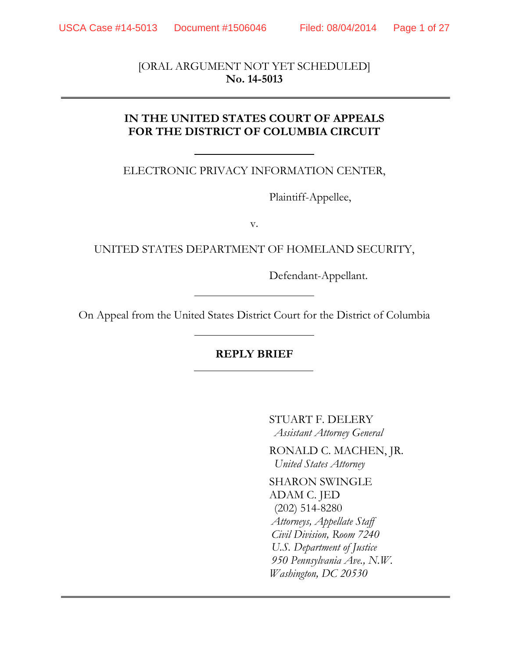[ORAL ARGUMENT NOT YET SCHEDULED] **No. 14-5013** 

## **IN THE UNITED STATES COURT OF APPEALS FOR THE DISTRICT OF COLUMBIA CIRCUIT**

ELECTRONIC PRIVACY INFORMATION CENTER,

Plaintiff-Appellee,

v.

UNITED STATES DEPARTMENT OF HOMELAND SECURITY,

Defendant-Appellant.

On Appeal from the United States District Court for the District of Columbia

# **REPLY BRIEF**

STUART F. DELERY  *Assistant Attorney General*

 RONALD C. MACHEN, JR.  *United States Attorney*

SHARON SWINGLE ADAM C. JED (202) 514-8280  *Attorneys, Appellate Staff Civil Division, Room 7240 U.S. Department of Justice 950 Pennsylvania Ave., N.W. Washington, DC 20530*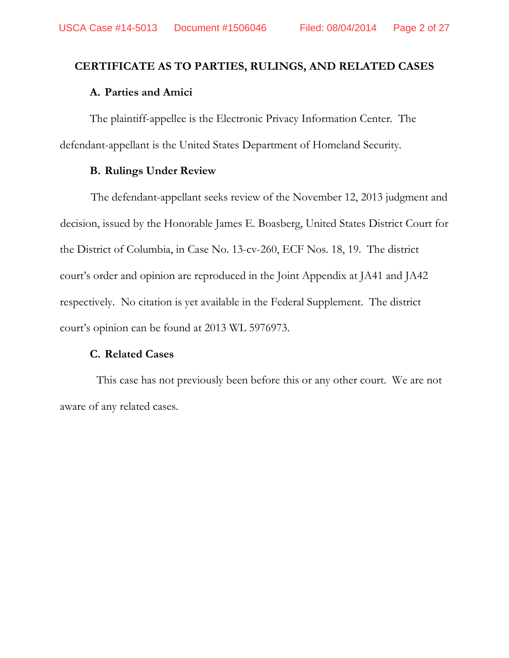## **CERTIFICATE AS TO PARTIES, RULINGS, AND RELATED CASES**

### **A. Parties and Amici**

The plaintiff-appellee is the Electronic Privacy Information Center. The defendant-appellant is the United States Department of Homeland Security.

### **B. Rulings Under Review**

The defendant-appellant seeks review of the November 12, 2013 judgment and decision, issued by the Honorable James E. Boasberg, United States District Court for the District of Columbia, in Case No. 13-cv-260, ECF Nos. 18, 19. The district court's order and opinion are reproduced in the Joint Appendix at JA41 and JA42 respectively. No citation is yet available in the Federal Supplement. The district court's opinion can be found at 2013 WL 5976973.

### **C. Related Cases**

This case has not previously been before this or any other court. We are not aware of any related cases.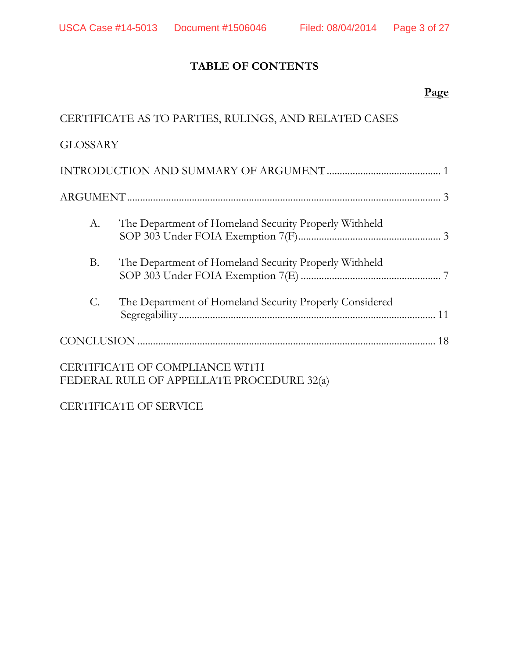# **TABLE OF CONTENTS**

# **Page**

|                 | CERTIFICATE AS TO PARTIES, RULINGS, AND RELATED CASES                       |  |
|-----------------|-----------------------------------------------------------------------------|--|
| <b>GLOSSARY</b> |                                                                             |  |
|                 |                                                                             |  |
|                 |                                                                             |  |
| A.              | The Department of Homeland Security Properly Withheld                       |  |
| <b>B.</b>       | The Department of Homeland Security Properly Withheld                       |  |
| C.              | The Department of Homeland Security Properly Considered                     |  |
|                 |                                                                             |  |
|                 | CERTIFICATE OF COMPLIANCE WITH<br>FEDERAL RULE OF APPELLATE PROCEDURE 32(a) |  |

CERTIFICATE OF SERVICE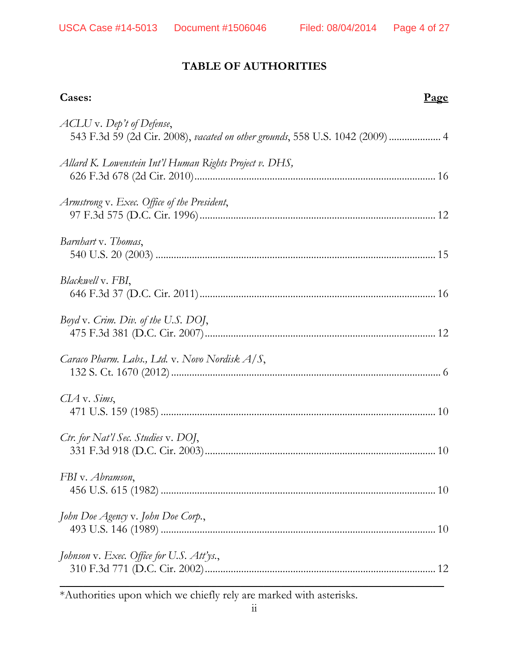# **TABLE OF AUTHORITIES**

| Cases:                                                                                                     | Page |
|------------------------------------------------------------------------------------------------------------|------|
| ACLU v. Dep't of Defense,<br>543 F.3d 59 (2d Cir. 2008), vacated on other grounds, 558 U.S. 1042 (2009)  4 |      |
| Allard K. Lowenstein Int'l Human Rights Project v. DHS,                                                    |      |
| Armstrong v. Exec. Office of the President,                                                                |      |
| Barnhart v. Thomas,                                                                                        |      |
| Blackwell v. FBI,                                                                                          |      |
| Boyd v. Crim. Div. of the U.S. DOJ,                                                                        |      |
| Caraco Pharm. Labs., Ltd. v. Novo Nordisk $A/S$ ,                                                          |      |
| $CLA$ v. Sims,                                                                                             |      |
| Ctr. for Nat'l Sec. Studies v. DOJ,                                                                        |      |
| FBI v. Abramson,                                                                                           |      |
| John Doe Agency v. John Doe Corp.,                                                                         |      |
| Johnson v. Exec. Office for U.S. Att'ys.,                                                                  |      |

\*Authorities upon which we chiefly rely are marked with asterisks.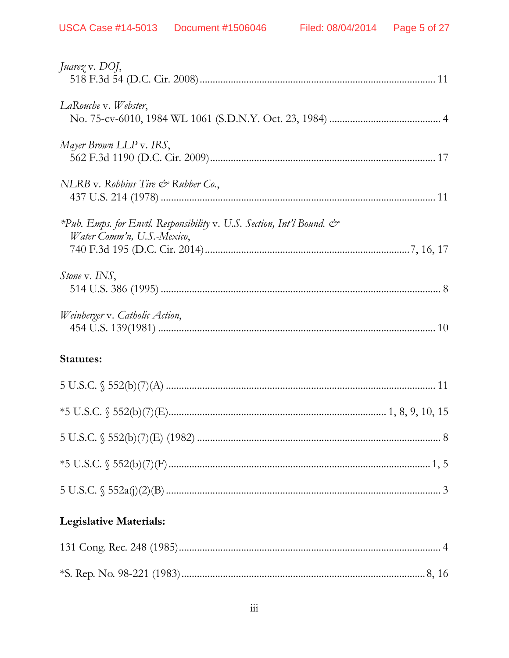| <i>Juarez v. DOJ,</i>                                                                                             |  |
|-------------------------------------------------------------------------------------------------------------------|--|
| LaRouche v. Webster,                                                                                              |  |
| Mayer Brown LLP v. IRS,                                                                                           |  |
| NLRB v. Robbins Tire $\mathcal O$ Rubber Co.,                                                                     |  |
| *Pub. Emps. for Envtl. Responsibility v. U.S. Section, Int'l Bound. $\mathcal{Q}^*$<br>Water Comm'n, U.S.-Mexico, |  |
| <i>Stone v. INS</i> ,                                                                                             |  |
| Weinberger v. Catholic Action,                                                                                    |  |
| Statutes:                                                                                                         |  |
|                                                                                                                   |  |
|                                                                                                                   |  |
|                                                                                                                   |  |
|                                                                                                                   |  |
|                                                                                                                   |  |
| <b>Legislative Materials:</b>                                                                                     |  |
|                                                                                                                   |  |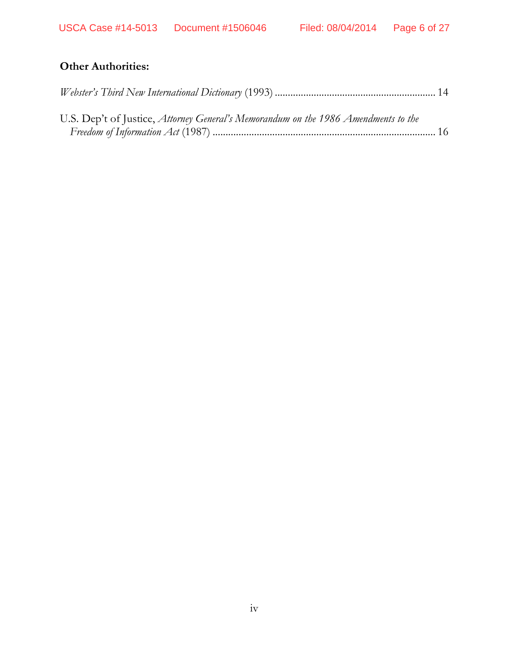# **Other Authorities:**

| U.S. Dep't of Justice, Attorney General's Memorandum on the 1986 Amendments to the |  |
|------------------------------------------------------------------------------------|--|
|                                                                                    |  |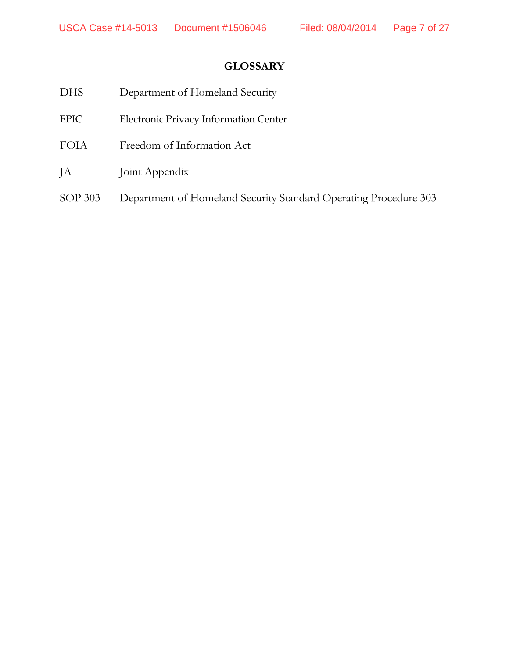# **GLOSSARY**

| <b>DHS</b>  | Department of Homeland Security                                  |
|-------------|------------------------------------------------------------------|
| <b>EPIC</b> | Electronic Privacy Information Center                            |
| <b>FOIA</b> | Freedom of Information Act                                       |
| JA          | Joint Appendix                                                   |
| SOP 303     | Department of Homeland Security Standard Operating Procedure 303 |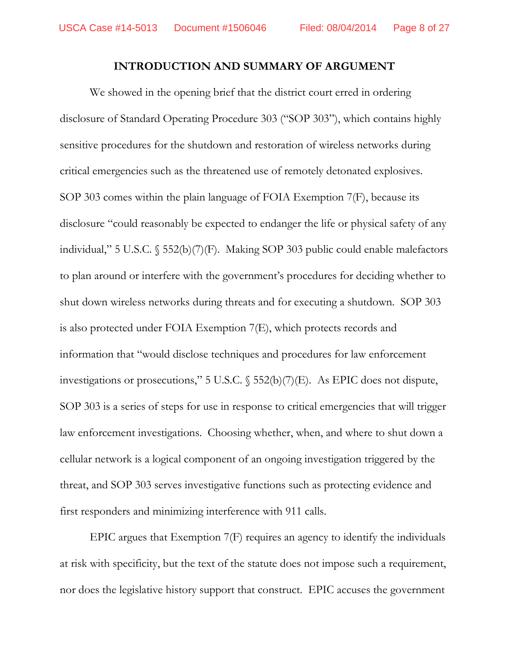### **INTRODUCTION AND SUMMARY OF ARGUMENT**

We showed in the opening brief that the district court erred in ordering disclosure of Standard Operating Procedure 303 ("SOP 303"), which contains highly sensitive procedures for the shutdown and restoration of wireless networks during critical emergencies such as the threatened use of remotely detonated explosives. SOP 303 comes within the plain language of FOIA Exemption 7(F), because its disclosure "could reasonably be expected to endanger the life or physical safety of any individual," 5 U.S.C. § 552(b)(7)(F). Making SOP 303 public could enable malefactors to plan around or interfere with the government's procedures for deciding whether to shut down wireless networks during threats and for executing a shutdown. SOP 303 is also protected under FOIA Exemption 7(E), which protects records and information that "would disclose techniques and procedures for law enforcement investigations or prosecutions," 5 U.S.C. § 552(b)(7)(E). As EPIC does not dispute, SOP 303 is a series of steps for use in response to critical emergencies that will trigger law enforcement investigations. Choosing whether, when, and where to shut down a cellular network is a logical component of an ongoing investigation triggered by the threat, and SOP 303 serves investigative functions such as protecting evidence and first responders and minimizing interference with 911 calls.

EPIC argues that Exemption 7(F) requires an agency to identify the individuals at risk with specificity, but the text of the statute does not impose such a requirement, nor does the legislative history support that construct. EPIC accuses the government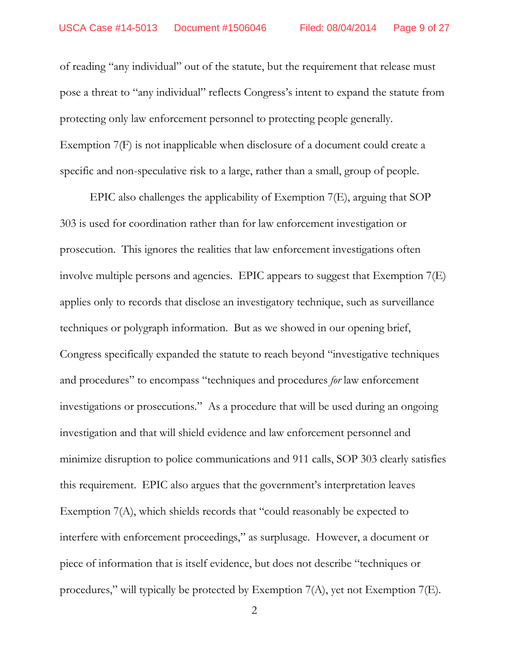of reading "any individual" out of the statute, but the requirement that release must pose a threat to "any individual" reflects Congress's intent to expand the statute from protecting only law enforcement personnel to protecting people generally. Exemption 7(F) is not inapplicable when disclosure of a document could create a specific and non-speculative risk to a large, rather than a small, group of people.

EPIC also challenges the applicability of Exemption 7(E), arguing that SOP 303 is used for coordination rather than for law enforcement investigation or prosecution. This ignores the realities that law enforcement investigations often involve multiple persons and agencies. EPIC appears to suggest that Exemption 7(E) applies only to records that disclose an investigatory technique, such as surveillance techniques or polygraph information. But as we showed in our opening brief, Congress specifically expanded the statute to reach beyond "investigative techniques and procedures" to encompass "techniques and procedures *for* law enforcement investigations or prosecutions." As a procedure that will be used during an ongoing investigation and that will shield evidence and law enforcement personnel and minimize disruption to police communications and 911 calls, SOP 303 clearly satisfies this requirement. EPIC also argues that the government's interpretation leaves Exemption 7(A), which shields records that "could reasonably be expected to interfere with enforcement proceedings," as surplusage. However, a document or piece of information that is itself evidence, but does not describe "techniques or procedures," will typically be protected by Exemption 7(A), yet not Exemption 7(E).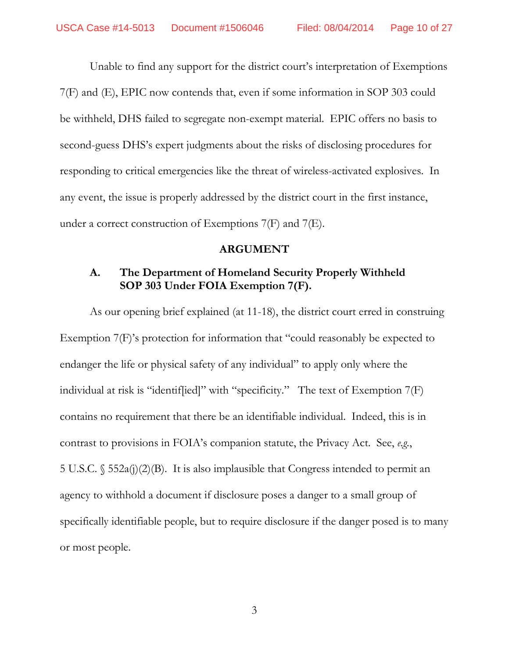Unable to find any support for the district court's interpretation of Exemptions 7(F) and (E), EPIC now contends that, even if some information in SOP 303 could be withheld, DHS failed to segregate non-exempt material. EPIC offers no basis to second-guess DHS's expert judgments about the risks of disclosing procedures for responding to critical emergencies like the threat of wireless-activated explosives. In any event, the issue is properly addressed by the district court in the first instance, under a correct construction of Exemptions 7(F) and 7(E).

#### **ARGUMENT**

## **A. The Department of Homeland Security Properly Withheld SOP 303 Under FOIA Exemption 7(F).**

As our opening brief explained (at 11-18), the district court erred in construing Exemption 7(F)'s protection for information that "could reasonably be expected to endanger the life or physical safety of any individual" to apply only where the individual at risk is "identif[ied]" with "specificity." The text of Exemption 7(F) contains no requirement that there be an identifiable individual. Indeed, this is in contrast to provisions in FOIA's companion statute, the Privacy Act. See, *e.g.*, 5 U.S.C. § 552a(j)(2)(B). It is also implausible that Congress intended to permit an agency to withhold a document if disclosure poses a danger to a small group of specifically identifiable people, but to require disclosure if the danger posed is to many or most people.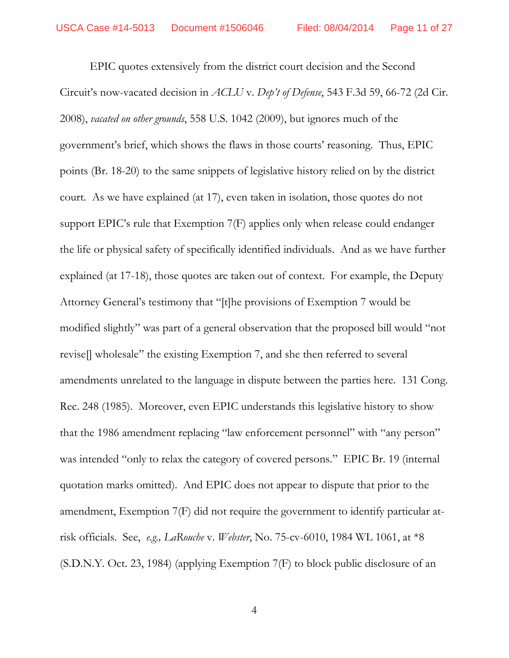EPIC quotes extensively from the district court decision and the Second Circuit's now-vacated decision in *ACLU* v. *Dep't of Defense*, 543 F.3d 59, 66-72 (2d Cir. 2008), *vacated on other grounds*, 558 U.S. 1042 (2009), but ignores much of the government's brief, which shows the flaws in those courts' reasoning. Thus, EPIC points (Br. 18-20) to the same snippets of legislative history relied on by the district court. As we have explained (at 17), even taken in isolation, those quotes do not support EPIC's rule that Exemption 7(F) applies only when release could endanger the life or physical safety of specifically identified individuals. And as we have further explained (at 17-18), those quotes are taken out of context. For example, the Deputy Attorney General's testimony that "[t]he provisions of Exemption 7 would be modified slightly" was part of a general observation that the proposed bill would "not revise[] wholesale" the existing Exemption 7, and she then referred to several amendments unrelated to the language in dispute between the parties here. 131 Cong. Rec. 248 (1985). Moreover, even EPIC understands this legislative history to show that the 1986 amendment replacing "law enforcement personnel" with "any person" was intended "only to relax the category of covered persons." EPIC Br. 19 (internal quotation marks omitted). And EPIC does not appear to dispute that prior to the amendment, Exemption 7(F) did not require the government to identify particular atrisk officials. See, *e.g., LaRouche* v. *Webster*, No. 75-cv-6010, 1984 WL 1061, at \*8 (S.D.N.Y. Oct. 23, 1984) (applying Exemption 7(F) to block public disclosure of an

4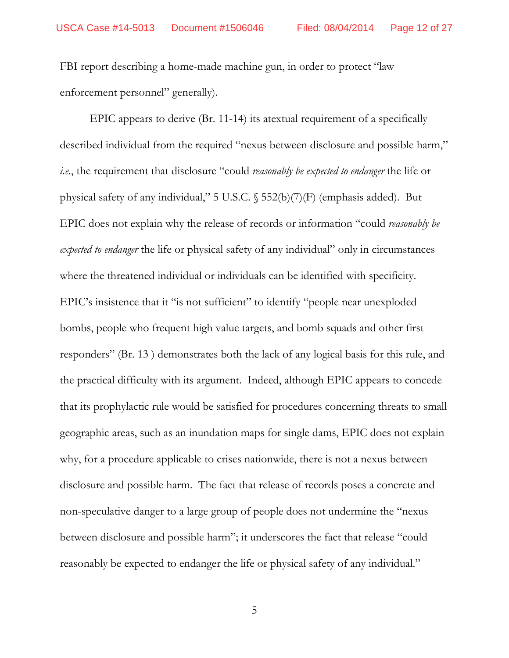FBI report describing a home-made machine gun, in order to protect "law enforcement personnel" generally).

EPIC appears to derive (Br. 11-14) its atextual requirement of a specifically described individual from the required "nexus between disclosure and possible harm," *i.e.*, the requirement that disclosure "could *reasonably be expected to endanger* the life or physical safety of any individual," 5 U.S.C. § 552(b)(7)(F) (emphasis added). But EPIC does not explain why the release of records or information "could *reasonably be expected to endanger* the life or physical safety of any individual" only in circumstances where the threatened individual or individuals can be identified with specificity. EPIC's insistence that it "is not sufficient" to identify "people near unexploded bombs, people who frequent high value targets, and bomb squads and other first responders" (Br. 13 ) demonstrates both the lack of any logical basis for this rule, and the practical difficulty with its argument. Indeed, although EPIC appears to concede that its prophylactic rule would be satisfied for procedures concerning threats to small geographic areas, such as an inundation maps for single dams, EPIC does not explain why, for a procedure applicable to crises nationwide, there is not a nexus between disclosure and possible harm. The fact that release of records poses a concrete and non-speculative danger to a large group of people does not undermine the "nexus between disclosure and possible harm"; it underscores the fact that release "could reasonably be expected to endanger the life or physical safety of any individual."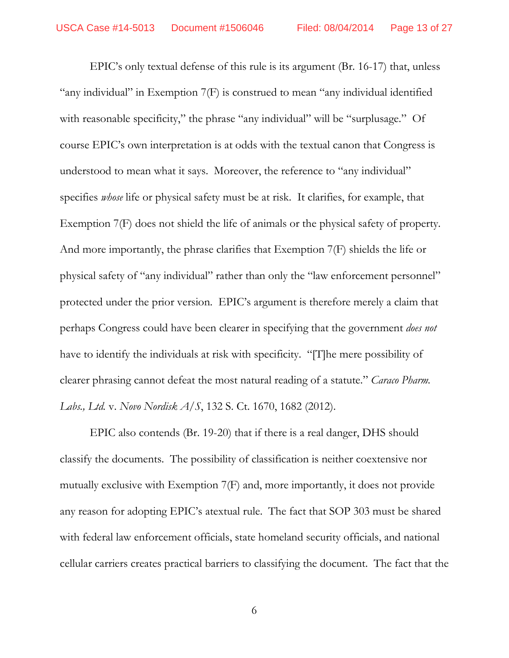EPIC's only textual defense of this rule is its argument (Br. 16-17) that, unless "any individual" in Exemption 7(F) is construed to mean "any individual identified with reasonable specificity," the phrase "any individual" will be "surplusage." Of course EPIC's own interpretation is at odds with the textual canon that Congress is understood to mean what it says. Moreover, the reference to "any individual" specifies *whose* life or physical safety must be at risk. It clarifies, for example, that Exemption 7(F) does not shield the life of animals or the physical safety of property. And more importantly, the phrase clarifies that Exemption 7(F) shields the life or physical safety of "any individual" rather than only the "law enforcement personnel" protected under the prior version. EPIC's argument is therefore merely a claim that perhaps Congress could have been clearer in specifying that the government *does not* have to identify the individuals at risk with specificity. "[T]he mere possibility of clearer phrasing cannot defeat the most natural reading of a statute." *Caraco Pharm. Labs., Ltd.* v. *Novo Nordisk A/S*, 132 S. Ct. 1670, 1682 (2012).

EPIC also contends (Br. 19-20) that if there is a real danger, DHS should classify the documents. The possibility of classification is neither coextensive nor mutually exclusive with Exemption 7(F) and, more importantly, it does not provide any reason for adopting EPIC's atextual rule. The fact that SOP 303 must be shared with federal law enforcement officials, state homeland security officials, and national cellular carriers creates practical barriers to classifying the document. The fact that the

6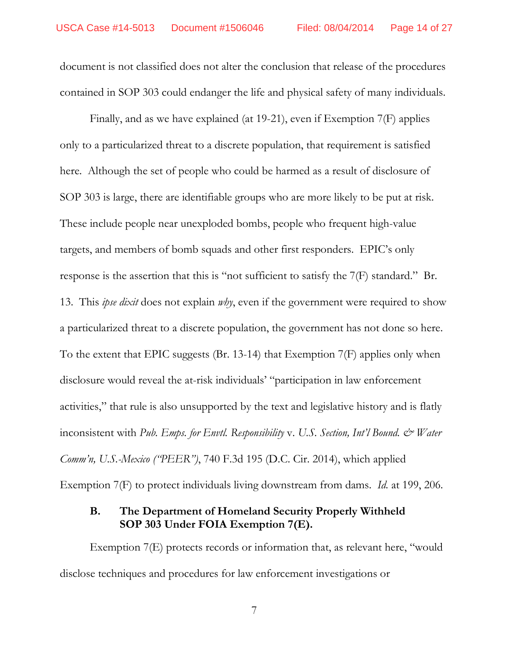document is not classified does not alter the conclusion that release of the procedures contained in SOP 303 could endanger the life and physical safety of many individuals.

Finally, and as we have explained (at 19-21), even if Exemption 7(F) applies only to a particularized threat to a discrete population, that requirement is satisfied here. Although the set of people who could be harmed as a result of disclosure of SOP 303 is large, there are identifiable groups who are more likely to be put at risk. These include people near unexploded bombs, people who frequent high-value targets, and members of bomb squads and other first responders. EPIC's only response is the assertion that this is "not sufficient to satisfy the 7(F) standard." Br. 13. This *ipse dixit* does not explain *why*, even if the government were required to show a particularized threat to a discrete population, the government has not done so here. To the extent that EPIC suggests (Br. 13-14) that Exemption 7(F) applies only when disclosure would reveal the at-risk individuals' "participation in law enforcement activities," that rule is also unsupported by the text and legislative history and is flatly inconsistent with *Pub. Emps. for Envtl. Responsibility* v. U.S. Section, Int'l Bound. & Water *Comm'n, U.S.-Mexico ("PEER")*, 740 F.3d 195 (D.C. Cir. 2014), which applied Exemption 7(F) to protect individuals living downstream from dams. *Id.* at 199, 206.

## **B. The Department of Homeland Security Properly Withheld SOP 303 Under FOIA Exemption 7(E).**

Exemption 7(E) protects records or information that, as relevant here, "would disclose techniques and procedures for law enforcement investigations or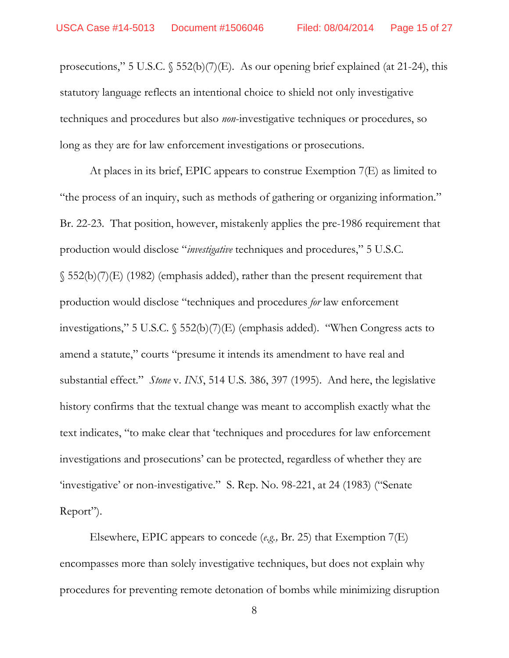prosecutions," 5 U.S.C. § 552(b)(7)(E). As our opening brief explained (at 21-24), this statutory language reflects an intentional choice to shield not only investigative techniques and procedures but also *non*-investigative techniques or procedures, so long as they are for law enforcement investigations or prosecutions.

At places in its brief, EPIC appears to construe Exemption 7(E) as limited to "the process of an inquiry, such as methods of gathering or organizing information." Br. 22-23. That position, however, mistakenly applies the pre-1986 requirement that production would disclose "*investigative* techniques and procedures," 5 U.S.C.  $\S$  552(b)(7)(E) (1982) (emphasis added), rather than the present requirement that production would disclose "techniques and procedures *for* law enforcement investigations," 5 U.S.C. § 552(b)(7)(E) (emphasis added). "When Congress acts to amend a statute," courts "presume it intends its amendment to have real and substantial effect." *Stone* v. *INS*, 514 U.S. 386, 397 (1995). And here, the legislative history confirms that the textual change was meant to accomplish exactly what the text indicates, "to make clear that 'techniques and procedures for law enforcement investigations and prosecutions' can be protected, regardless of whether they are 'investigative' or non-investigative." S. Rep. No. 98-221, at 24 (1983) ("Senate Report").

Elsewhere, EPIC appears to concede (*e.g.,* Br. 25) that Exemption 7(E) encompasses more than solely investigative techniques, but does not explain why procedures for preventing remote detonation of bombs while minimizing disruption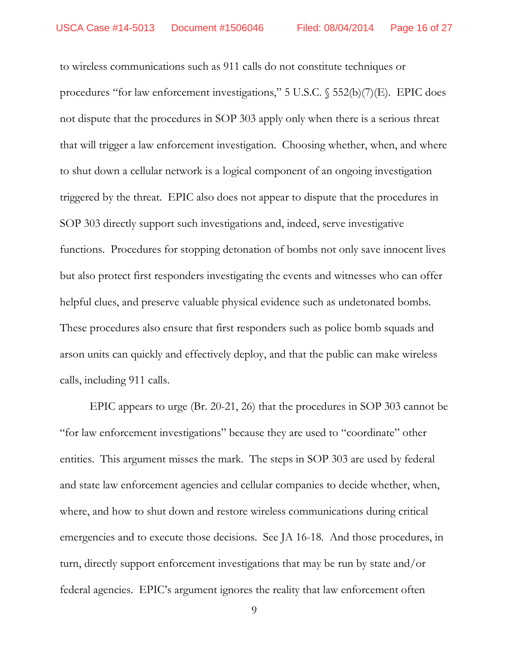to wireless communications such as 911 calls do not constitute techniques or procedures "for law enforcement investigations," 5 U.S.C. § 552(b)(7)(E). EPIC does not dispute that the procedures in SOP 303 apply only when there is a serious threat that will trigger a law enforcement investigation. Choosing whether, when, and where to shut down a cellular network is a logical component of an ongoing investigation triggered by the threat. EPIC also does not appear to dispute that the procedures in SOP 303 directly support such investigations and, indeed, serve investigative functions. Procedures for stopping detonation of bombs not only save innocent lives but also protect first responders investigating the events and witnesses who can offer helpful clues, and preserve valuable physical evidence such as undetonated bombs. These procedures also ensure that first responders such as police bomb squads and arson units can quickly and effectively deploy, and that the public can make wireless calls, including 911 calls.

EPIC appears to urge (Br. 20-21, 26) that the procedures in SOP 303 cannot be "for law enforcement investigations" because they are used to "coordinate" other entities. This argument misses the mark. The steps in SOP 303 are used by federal and state law enforcement agencies and cellular companies to decide whether, when, where, and how to shut down and restore wireless communications during critical emergencies and to execute those decisions. See JA 16-18. And those procedures, in turn, directly support enforcement investigations that may be run by state and/or federal agencies. EPIC's argument ignores the reality that law enforcement often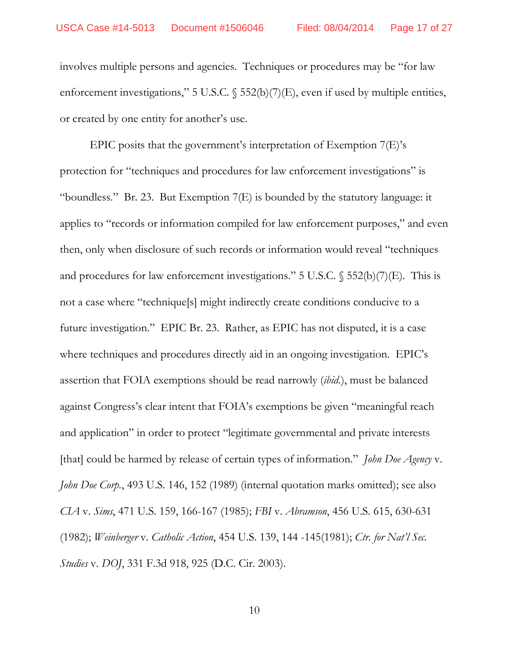involves multiple persons and agencies. Techniques or procedures may be "for law enforcement investigations," 5 U.S.C.  $\S$  552(b)(7)(E), even if used by multiple entities, or created by one entity for another's use.

EPIC posits that the government's interpretation of Exemption 7(E)'s protection for "techniques and procedures for law enforcement investigations" is "boundless." Br. 23. But Exemption 7(E) is bounded by the statutory language: it applies to "records or information compiled for law enforcement purposes," and even then, only when disclosure of such records or information would reveal "techniques and procedures for law enforcement investigations." 5 U.S.C.  $\S$  552(b)(7)(E). This is not a case where "technique[s] might indirectly create conditions conducive to a future investigation." EPIC Br. 23. Rather, as EPIC has not disputed, it is a case where techniques and procedures directly aid in an ongoing investigation. EPIC's assertion that FOIA exemptions should be read narrowly (*ibid.*), must be balanced against Congress's clear intent that FOIA's exemptions be given "meaningful reach and application" in order to protect "legitimate governmental and private interests [that] could be harmed by release of certain types of information." *John Doe Agency* v. *John Doe Corp.*, 493 U.S. 146, 152 (1989) (internal quotation marks omitted); see also *CIA* v. *Sims*, 471 U.S. 159, 166-167 (1985); *FBI* v. *Abramson*, 456 U.S. 615, 630-631 (1982); *Weinberger* v. *Catholic Action*, 454 U.S. 139, 144 -145(1981); *Ctr. for Nat'l Sec. Studies* v. *DOJ*, 331 F.3d 918, 925 (D.C. Cir. 2003).

10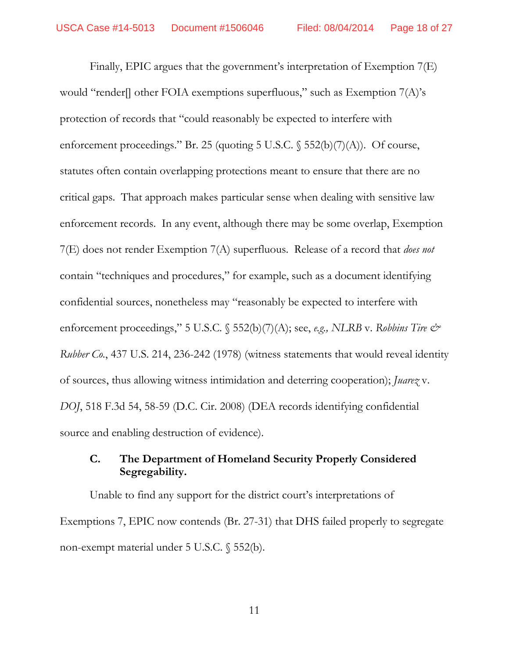Finally, EPIC argues that the government's interpretation of Exemption 7(E) would "render[] other FOIA exemptions superfluous," such as Exemption 7(A)'s protection of records that "could reasonably be expected to interfere with enforcement proceedings." Br. 25 (quoting 5 U.S.C.  $\S$  552(b)(7)(A)). Of course, statutes often contain overlapping protections meant to ensure that there are no critical gaps. That approach makes particular sense when dealing with sensitive law enforcement records. In any event, although there may be some overlap, Exemption 7(E) does not render Exemption 7(A) superfluous. Release of a record that *does not*  contain "techniques and procedures," for example, such as a document identifying confidential sources, nonetheless may "reasonably be expected to interfere with enforcement proceedings," 5 U.S.C.  $\$$  552(b)(7)(A); see, *e.g.*, *NLRB* v. *Robbins Tire*  $\mathcal{O}^*$ *Rubber Co.*, 437 U.S. 214, 236-242 (1978) (witness statements that would reveal identity of sources, thus allowing witness intimidation and deterring cooperation); *Juarez* v. *DOJ*, 518 F.3d 54, 58-59 (D.C. Cir. 2008) (DEA records identifying confidential source and enabling destruction of evidence).

## **C. The Department of Homeland Security Properly Considered Segregability.**

Unable to find any support for the district court's interpretations of Exemptions 7, EPIC now contends (Br. 27-31) that DHS failed properly to segregate non-exempt material under 5 U.S.C. § 552(b).

11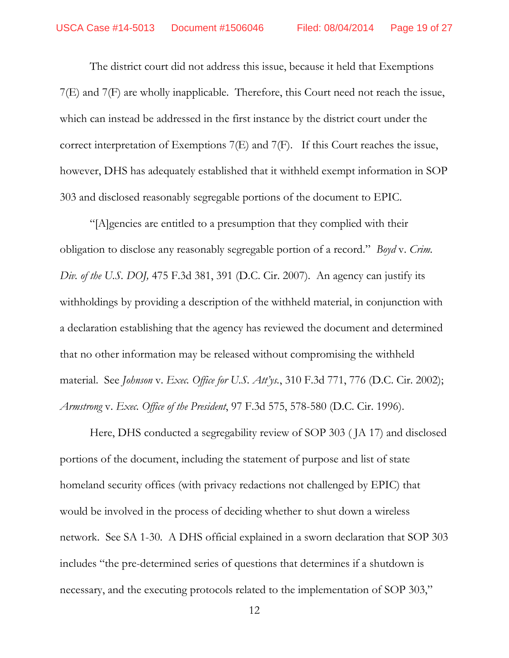The district court did not address this issue, because it held that Exemptions 7(E) and 7(F) are wholly inapplicable. Therefore, this Court need not reach the issue, which can instead be addressed in the first instance by the district court under the correct interpretation of Exemptions 7(E) and 7(F). If this Court reaches the issue, however, DHS has adequately established that it withheld exempt information in SOP 303 and disclosed reasonably segregable portions of the document to EPIC.

"[A]gencies are entitled to a presumption that they complied with their obligation to disclose any reasonably segregable portion of a record." *Boyd* v. *Crim. Div. of the U.S. DOJ,* 475 F.3d 381, 391 (D.C. Cir. 2007). An agency can justify its withholdings by providing a description of the withheld material, in conjunction with a declaration establishing that the agency has reviewed the document and determined that no other information may be released without compromising the withheld material. See *Johnson* v. *Exec. Office for U.S. Att'ys.*, 310 F.3d 771, 776 (D.C. Cir. 2002); *Armstrong* v. *Exec. Office of the President*, 97 F.3d 575, 578-580 (D.C. Cir. 1996).

Here, DHS conducted a segregability review of SOP 303 ( JA 17) and disclosed portions of the document, including the statement of purpose and list of state homeland security offices (with privacy redactions not challenged by EPIC) that would be involved in the process of deciding whether to shut down a wireless network. See SA 1-30. A DHS official explained in a sworn declaration that SOP 303 includes "the pre-determined series of questions that determines if a shutdown is necessary, and the executing protocols related to the implementation of SOP 303,"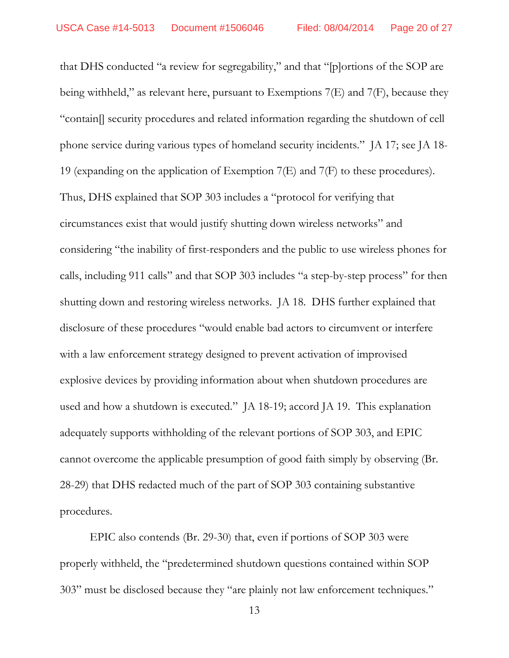that DHS conducted "a review for segregability," and that "[p]ortions of the SOP are being withheld," as relevant here, pursuant to Exemptions 7(E) and 7(F), because they "contain[] security procedures and related information regarding the shutdown of cell phone service during various types of homeland security incidents." JA 17; see JA 18- 19 (expanding on the application of Exemption 7(E) and 7(F) to these procedures). Thus, DHS explained that SOP 303 includes a "protocol for verifying that circumstances exist that would justify shutting down wireless networks" and considering "the inability of first-responders and the public to use wireless phones for calls, including 911 calls" and that SOP 303 includes "a step-by-step process" for then shutting down and restoring wireless networks. JA 18. DHS further explained that disclosure of these procedures "would enable bad actors to circumvent or interfere with a law enforcement strategy designed to prevent activation of improvised explosive devices by providing information about when shutdown procedures are used and how a shutdown is executed." JA 18-19; accord JA 19. This explanation adequately supports withholding of the relevant portions of SOP 303, and EPIC cannot overcome the applicable presumption of good faith simply by observing (Br. 28-29) that DHS redacted much of the part of SOP 303 containing substantive procedures.

EPIC also contends (Br. 29-30) that, even if portions of SOP 303 were properly withheld, the "predetermined shutdown questions contained within SOP 303" must be disclosed because they "are plainly not law enforcement techniques."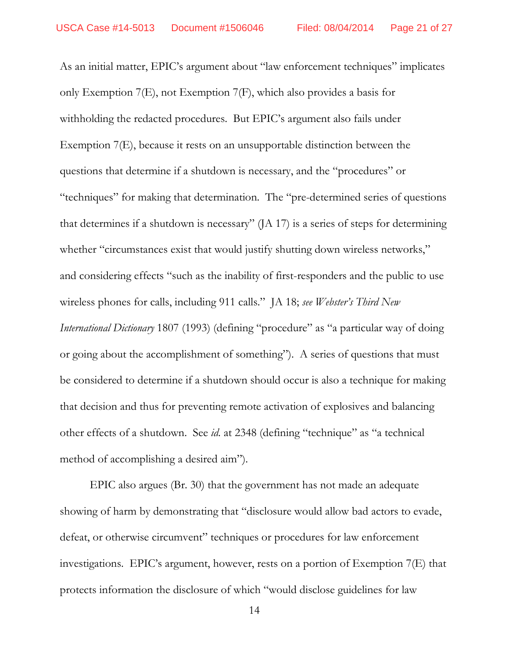As an initial matter, EPIC's argument about "law enforcement techniques" implicates only Exemption 7(E), not Exemption 7(F), which also provides a basis for withholding the redacted procedures. But EPIC's argument also fails under Exemption 7(E), because it rests on an unsupportable distinction between the questions that determine if a shutdown is necessary, and the "procedures" or "techniques" for making that determination. The "pre-determined series of questions that determines if a shutdown is necessary" (JA 17) is a series of steps for determining whether "circumstances exist that would justify shutting down wireless networks," and considering effects "such as the inability of first-responders and the public to use wireless phones for calls, including 911 calls." JA 18; *see Webster's Third New International Dictionary* 1807 (1993) (defining "procedure" as "a particular way of doing or going about the accomplishment of something"). A series of questions that must be considered to determine if a shutdown should occur is also a technique for making that decision and thus for preventing remote activation of explosives and balancing other effects of a shutdown. See *id.* at 2348 (defining "technique" as "a technical method of accomplishing a desired aim").

EPIC also argues (Br. 30) that the government has not made an adequate showing of harm by demonstrating that "disclosure would allow bad actors to evade, defeat, or otherwise circumvent" techniques or procedures for law enforcement investigations. EPIC's argument, however, rests on a portion of Exemption 7(E) that protects information the disclosure of which "would disclose guidelines for law

14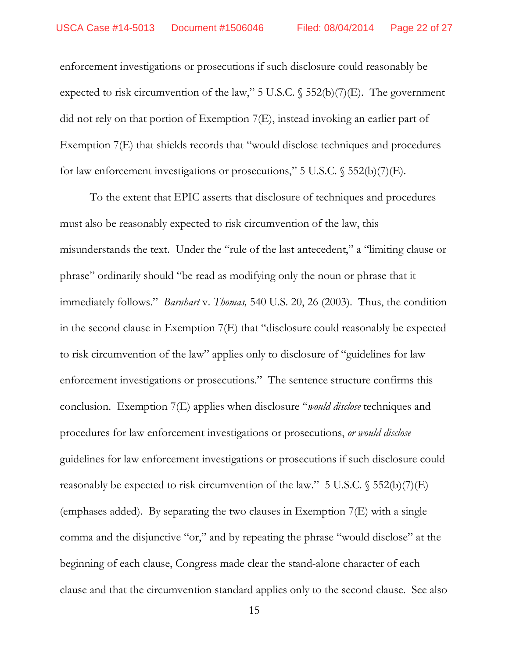enforcement investigations or prosecutions if such disclosure could reasonably be expected to risk circumvention of the law," 5 U.S.C.  $\S$  552(b)(7)(E). The government did not rely on that portion of Exemption 7(E), instead invoking an earlier part of Exemption 7(E) that shields records that "would disclose techniques and procedures for law enforcement investigations or prosecutions," 5 U.S.C.  $\$$  552(b)(7)(E).

To the extent that EPIC asserts that disclosure of techniques and procedures must also be reasonably expected to risk circumvention of the law, this misunderstands the text. Under the "rule of the last antecedent," a "limiting clause or phrase" ordinarily should "be read as modifying only the noun or phrase that it immediately follows." *Barnhart* v. *Thomas,* 540 U.S. 20, 26 (2003).Thus, the condition in the second clause in Exemption 7(E) that "disclosure could reasonably be expected to risk circumvention of the law" applies only to disclosure of "guidelines for law enforcement investigations or prosecutions." The sentence structure confirms this conclusion. Exemption 7(E) applies when disclosure "*would disclose* techniques and procedures for law enforcement investigations or prosecutions, *or would disclose* guidelines for law enforcement investigations or prosecutions if such disclosure could reasonably be expected to risk circumvention of the law."  $5$  U.S.C.  $\$$   $552(b)(7)(E)$ (emphases added). By separating the two clauses in Exemption 7(E) with a single comma and the disjunctive "or," and by repeating the phrase "would disclose" at the beginning of each clause, Congress made clear the stand-alone character of each clause and that the circumvention standard applies only to the second clause. See also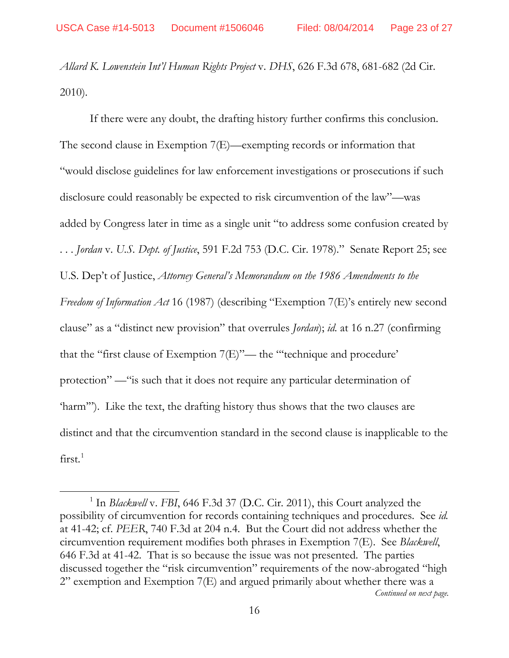$\overline{a}$ 

*Allard K. Lowenstein Int'l Human Rights Project* v. *DHS*, 626 F.3d 678, 681-682 (2d Cir. 2010).

If there were any doubt, the drafting history further confirms this conclusion. The second clause in Exemption 7(E)—exempting records or information that "would disclose guidelines for law enforcement investigations or prosecutions if such disclosure could reasonably be expected to risk circumvention of the law"—was added by Congress later in time as a single unit "to address some confusion created by . . . *Jordan* v. *U.S. Dept. of Justice*, 591 F.2d 753 (D.C. Cir. 1978)." Senate Report 25; see U.S. Dep't of Justice, *Attorney General's Memorandum on the 1986 Amendments to the Freedom of Information Act* 16 (1987) (describing "Exemption 7(E)'s entirely new second clause" as a "distinct new provision" that overrules *Jordan*); *id.* at 16 n.27 (confirming that the "first clause of Exemption 7(E)"— the "'technique and procedure' protection" —"is such that it does not require any particular determination of 'harm'"). Like the text, the drafting history thus shows that the two clauses are distinct and that the circumvention standard in the second clause is inapplicable to the  $first.<sup>1</sup>$  $first.<sup>1</sup>$  $first.<sup>1</sup>$ 

<span id="page-22-0"></span><sup>&</sup>lt;sup>1</sup> In *Blackwell* v. *FBI*, 646 F.3d 37 (D.C. Cir. 2011), this Court analyzed the possibility of circumvention for records containing techniques and procedures. See *id.*  at 41-42; cf. *PEER*, 740 F.3d at 204 n.4. But the Court did not address whether the circumvention requirement modifies both phrases in Exemption 7(E). See *Blackwell*, 646 F.3d at 41-42. That is so because the issue was not presented. The parties discussed together the "risk circumvention" requirements of the now-abrogated "high 2" exemption and Exemption 7(E) and argued primarily about whether there was a *Continued on next page.*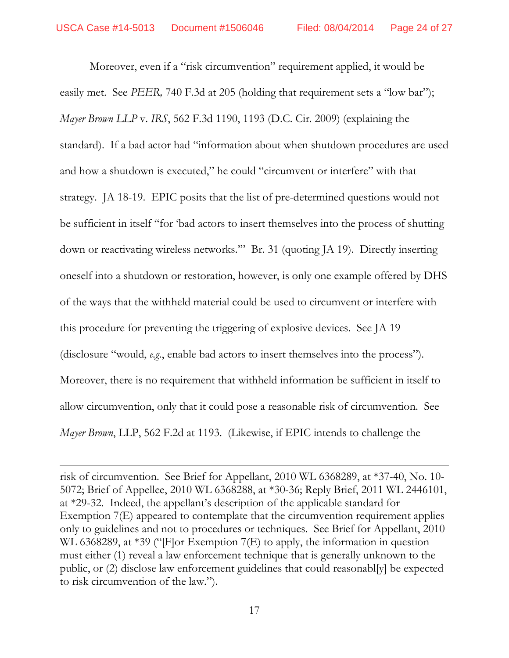Moreover, even if a "risk circumvention" requirement applied, it would be easily met. See *PEER*, 740 F.3d at 205 (holding that requirement sets a "low bar"); *Mayer Brown LLP* v. *IRS*, 562 F.3d 1190, 1193 (D.C. Cir. 2009) (explaining the standard). If a bad actor had "information about when shutdown procedures are used and how a shutdown is executed," he could "circumvent or interfere" with that strategy. JA 18-19. EPIC posits that the list of pre-determined questions would not be sufficient in itself "for 'bad actors to insert themselves into the process of shutting down or reactivating wireless networks.'" Br. 31 (quoting JA 19). Directly inserting oneself into a shutdown or restoration, however, is only one example offered by DHS of the ways that the withheld material could be used to circumvent or interfere with this procedure for preventing the triggering of explosive devices. See JA 19 (disclosure "would, *e.g.*, enable bad actors to insert themselves into the process"). Moreover, there is no requirement that withheld information be sufficient in itself to allow circumvention, only that it could pose a reasonable risk of circumvention. See *Mayer Brown*, LLP, 562 F.2d at 1193. (Likewise, if EPIC intends to challenge the

risk of circumvention. See Brief for Appellant, 2010 WL 6368289, at \*37-40, No. 10- 5072; Brief of Appellee, 2010 WL 6368288, at \*30-36; Reply Brief, 2011 WL 2446101, at \*29-32. Indeed, the appellant's description of the applicable standard for Exemption 7(E) appeared to contemplate that the circumvention requirement applies only to guidelines and not to procedures or techniques. See Brief for Appellant, 2010 WL 6368289, at \*39 ("[F]or Exemption 7(E) to apply, the information in question must either (1) reveal a law enforcement technique that is generally unknown to the public, or (2) disclose law enforcement guidelines that could reasonabl[y] be expected to risk circumvention of the law.").

 $\overline{a}$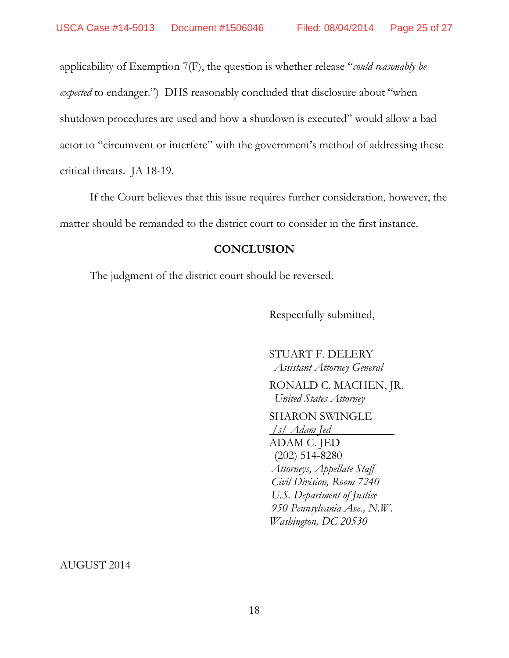applicability of Exemption 7(F), the question is whether release "*could reasonably be expected* to endanger.") DHS reasonably concluded that disclosure about "when shutdown procedures are used and how a shutdown is executed" would allow a bad actor to "circumvent or interfere" with the government's method of addressing these critical threats. JA 18-19.

If the Court believes that this issue requires further consideration, however, the matter should be remanded to the district court to consider in the first instance.

### **CONCLUSION**

The judgment of the district court should be reversed.

Respectfully submitted,

STUART F. DELERY  *Assistant Attorney General*

 RONALD C. MACHEN, JR.  *United States Attorney*

## SHARON SWINGLE

*/s/ Adam Jed*  ADAM C. JED (202) 514-8280  *Attorneys, Appellate Staff Civil Division, Room 7240 U.S. Department of Justice 950 Pennsylvania Ave., N.W. Washington, DC 20530*

AUGUST 2014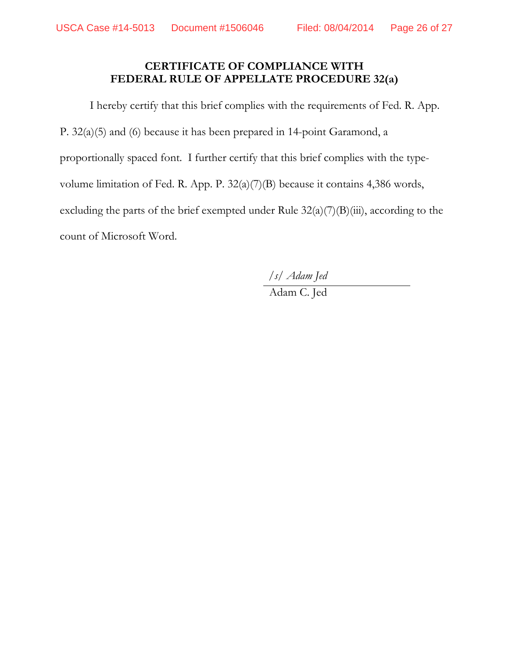# **CERTIFICATE OF COMPLIANCE WITH FEDERAL RULE OF APPELLATE PROCEDURE 32(a)**

I hereby certify that this brief complies with the requirements of Fed. R. App. P. 32(a)(5) and (6) because it has been prepared in 14-point Garamond, a proportionally spaced font. I further certify that this brief complies with the typevolume limitation of Fed. R. App. P. 32(a)(7)(B) because it contains 4,386 words, excluding the parts of the brief exempted under Rule  $32(a)(7)(B)(iii)$ , according to the count of Microsoft Word.

*/s/ Adam Jed*

Adam C. Jed